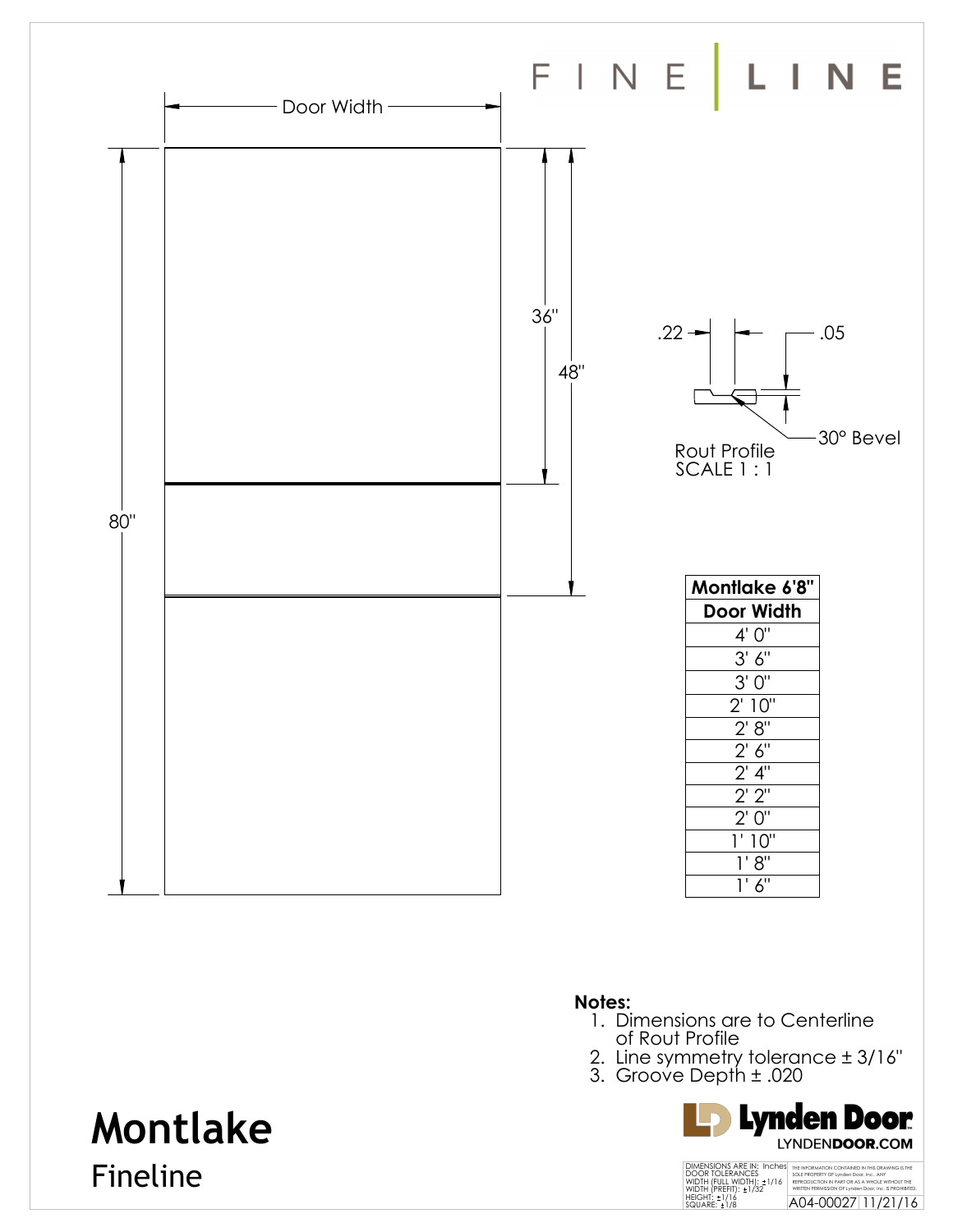

- 1. Dimensions are to Centerline of Rout Profile
- 2. Line symmetry tolerance ± 3/16"
- 3. Groove Depth ± .020



### THE INFORMATION CONTAINED IN THIS DRAWING IS THE SOLE PROPERTY OF Lynden Door, Inc. ANY<br>REPRODUCTION IN PART OR AS A WHOLE WITHOUT THE<br>WRITTEN PERMISSION OF Lynden Door, Inc. IS PROHIBITED.<br>A04-00027 11/21/16 DIMENSIONS ARE IN: Inches<br>DOOR TOLERANCES<br>WIDTH (FULL WIDTH): ±1/16<br>WIDTH (PREFIT): ±1/32<br>HEIGHT: ±1/16<br>SQUARE: ±1/8

# **Montlake**

Fineline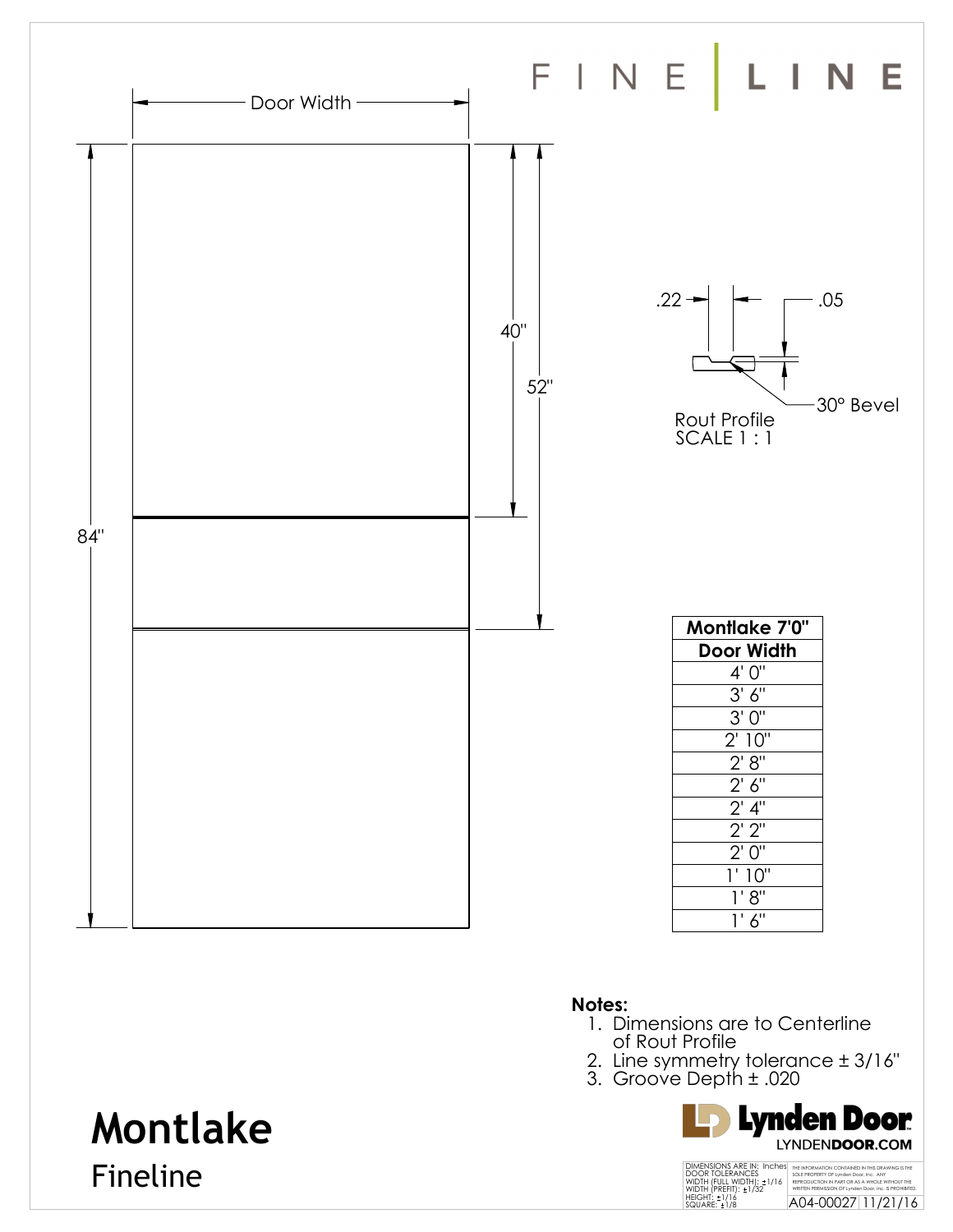

- 1. Dimensions are to Centerline of Rout Profile
- 2. Line symmetry tolerance ± 3/16"
- 3. Groove Depth ± .020



# **Montlake**

Fineline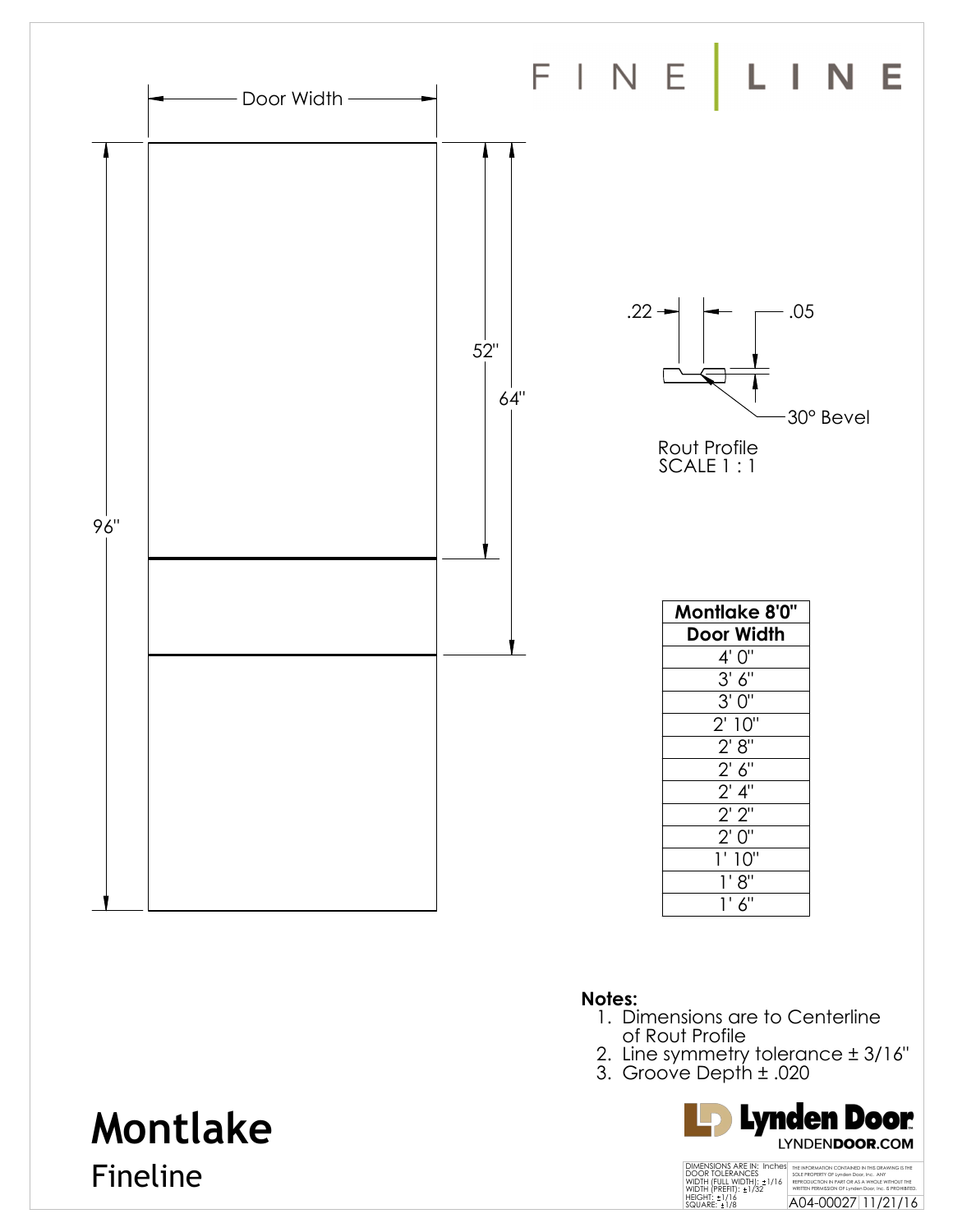

- 1. Dimensions are to Centerline of Rout Profile
- 2. Line symmetry tolerance ± 3/16"
- 3. Groove Depth ± .020



## THE INFORMATION CONTAINED IN THIS DRAWING IS THE SOLE PROPERTY OF Lynden Door, Inc. ANY<br>REPRODUCTION IN PART OR AS A WHOLE WITHOUT THE<br>WRITTEN PERMISSION OF Lynden Door, Inc. IS PROHIBITED.<br>A04-00027 11/21/16 DIMENSIONS ARE IN: Inches<br>DOOR TOLERANCES<br>WIDTH (FULL WIDTH): ±1/16<br>WIDTH (PREFIT): ±1/32<br>HEIGHT: ±1/16<br>SQUARE: ±1/8

# **Montlake**

Fineline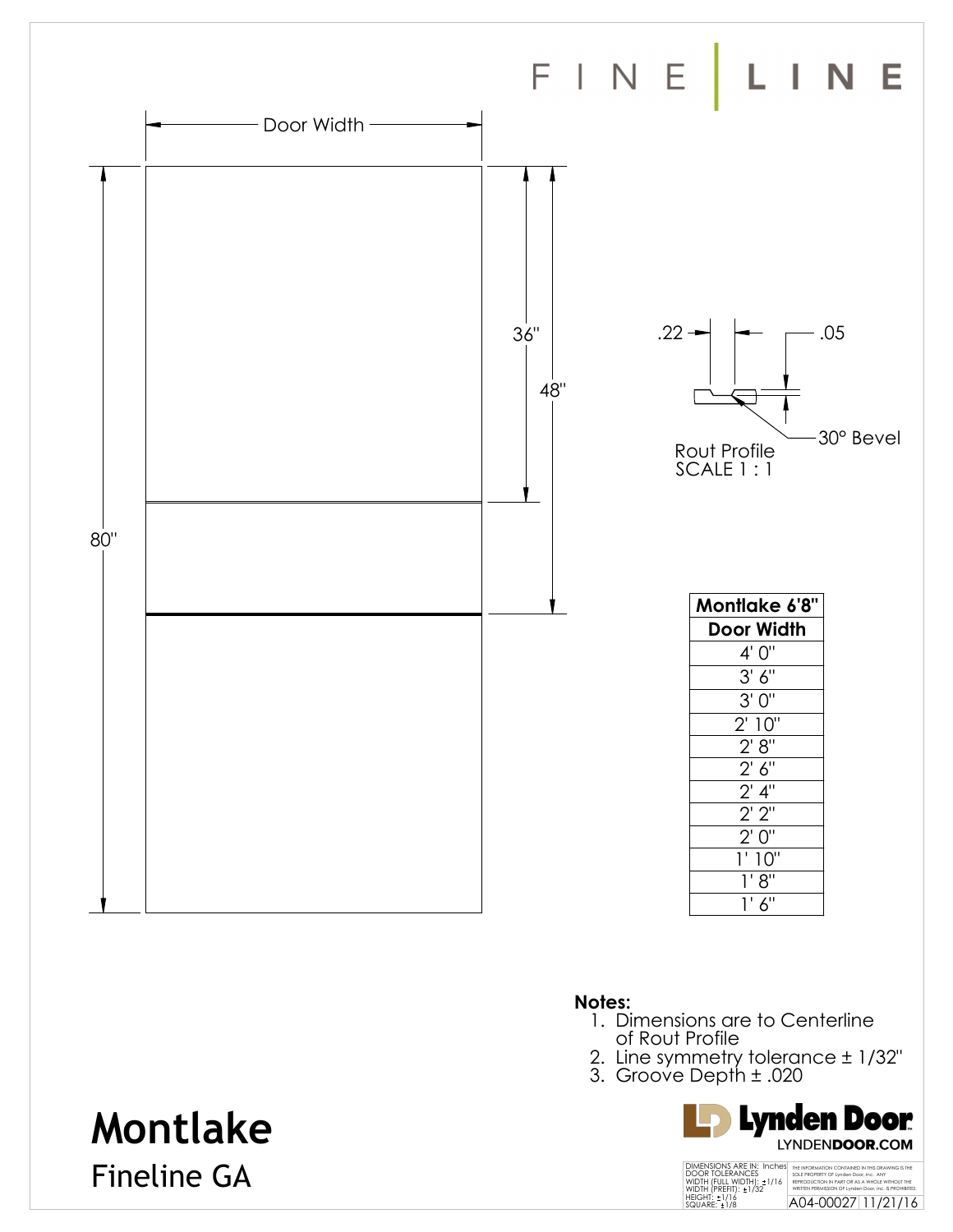

- 1. Dimensions are to Centerline of Rout Profile
- 2. Line symmetry tolerance ± 1/32"
- 3. Groove Depth ± .020



## **Montlake**

Fineline GA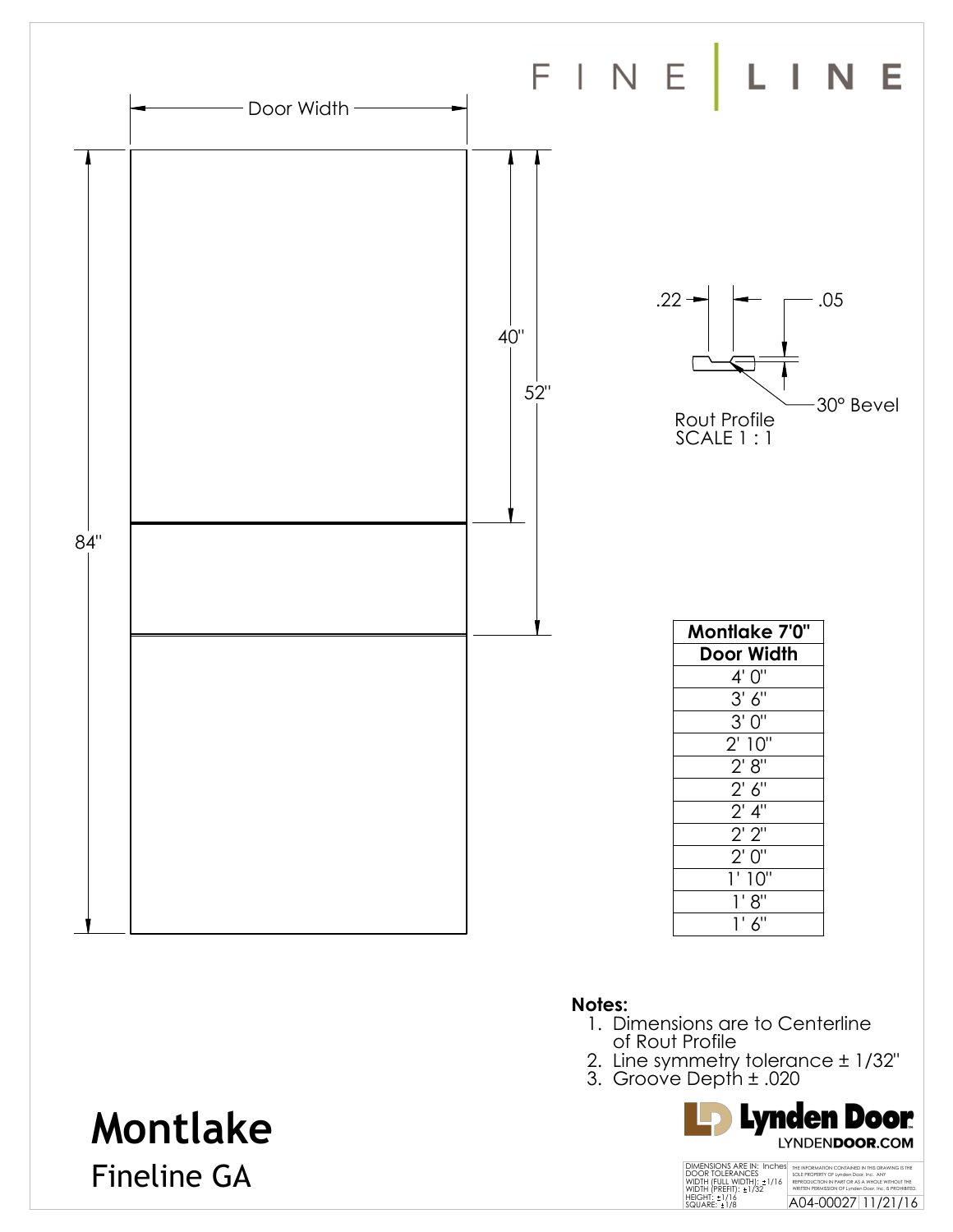

- 1. Dimensions are to Centerline of Rout Profile
- 2. Line symmetry tolerance ± 1/32"
- 3. Groove Depth ± .020



## **Montlake**

Fineline GA